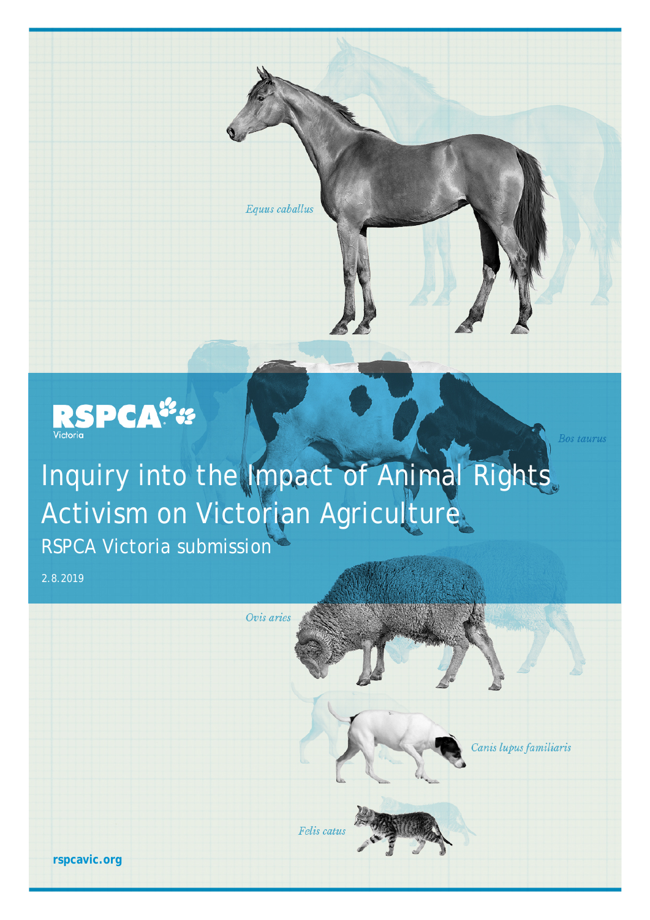



**Bos taurus** 

# Inquiry into the Impact of Animal Rights Activism on Victorian Agriculture

RSPCA Victoria submission

2.8.2019

|              | Ovis aries             |
|--------------|------------------------|
|              | Canis lupus familiaris |
| rspcavic.org | Felis catus            |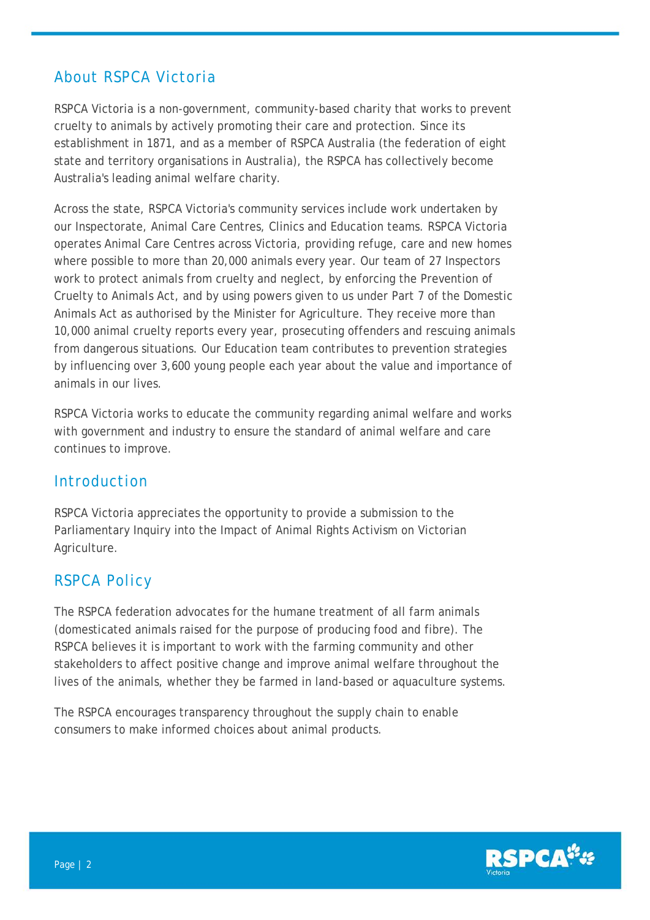### About RSPCA Victoria

RSPCA Victoria is a non-government, community-based charity that works to prevent cruelty to animals by actively promoting their care and protection. Since its establishment in 1871, and as a member of RSPCA Australia (the federation of eight state and territory organisations in Australia), the RSPCA has collectively become Australia's leading animal welfare charity.

Across the state, RSPCA Victoria's community services include work undertaken by our Inspectorate, Animal Care Centres, Clinics and Education teams. RSPCA Victoria operates Animal Care Centres across Victoria, providing refuge, care and new homes where possible to more than 20,000 animals every year. Our team of 27 Inspectors work to protect animals from cruelty and neglect, by enforcing the Prevention of Cruelty to Animals Act, and by using powers given to us under Part 7 of the Domestic Animals Act as authorised by the Minister for Agriculture. They receive more than 10,000 animal cruelty reports every year, prosecuting offenders and rescuing animals from dangerous situations. Our Education team contributes to prevention strategies by influencing over 3,600 young people each year about the value and importance of animals in our lives.

RSPCA Victoria works to educate the community regarding animal welfare and works with government and industry to ensure the standard of animal welfare and care continues to improve.

#### Introduction

RSPCA Victoria appreciates the opportunity to provide a submission to the Parliamentary Inquiry into the Impact of Animal Rights Activism on Victorian Agriculture.

#### RSPCA Policy

The RSPCA federation advocates for the humane treatment of all farm animals (domesticated animals raised for the purpose of producing food and fibre). The RSPCA believes it is important to work with the farming community and other stakeholders to affect positive change and improve animal welfare throughout the lives of the animals, whether they be farmed in land-based or aquaculture systems.

The RSPCA encourages transparency throughout the supply chain to enable consumers to make informed choices about animal products.

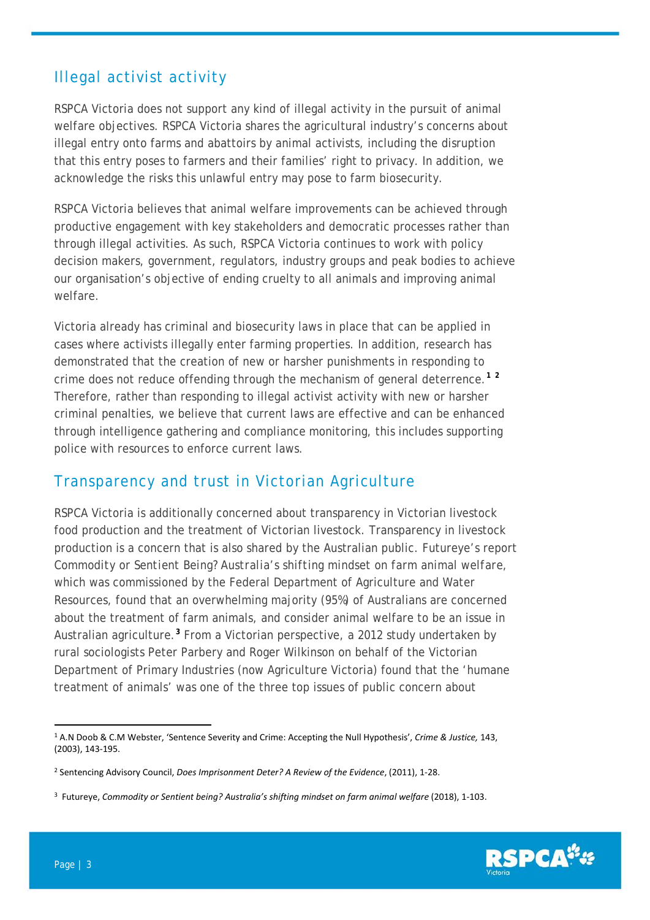## Illegal activist activity

RSPCA Victoria does not support any kind of illegal activity in the pursuit of animal welfare objectives. RSPCA Victoria shares the agricultural industry's concerns about illegal entry onto farms and abattoirs by animal activists, including the disruption that this entry poses to farmers and their families' right to privacy. In addition, we acknowledge the risks this unlawful entry may pose to farm biosecurity.

RSPCA Victoria believes that animal welfare improvements can be achieved through productive engagement with key stakeholders and democratic processes rather than through illegal activities. As such, RSPCA Victoria continues to work with policy decision makers, government, regulators, industry groups and peak bodies to achieve our organisation's objective of ending cruelty to all animals and improving animal welfare.

Victoria already has criminal and biosecurity laws in place that can be applied in cases where activists illegally enter farming properties. In addition, research has demonstrated that the creation of new or harsher punishments in responding to crime does not reduce offending through the mechanism of general deterrence.**[1](#page-2-0) [2](#page-2-1)** Therefore, rather than responding to illegal activist activity with new or harsher criminal penalties, we believe that current laws are effective and can be enhanced through intelligence gathering and compliance monitoring, this includes supporting police with resources to enforce current laws.

#### Transparency and trust in Victorian Agriculture

RSPCA Victoria is additionally concerned about transparency in Victorian livestock food production and the treatment of Victorian livestock. Transparency in livestock production is a concern that is also shared by the Australian public. Futureye's report *Commodity or Sentient Being? Australia's shifting mindset on farm animal welfare*, which was commissioned by the Federal Department of Agriculture and Water Resources, found that an overwhelming majority (95%) of Australians are concerned about the treatment of farm animals, and consider animal welfare to be an issue in Australian agriculture.**[3](#page-2-2)** From a Victorian perspective, a 2012 study undertaken by rural sociologists Peter Parbery and Roger Wilkinson on behalf of the Victorian Department of Primary Industries (now Agriculture Victoria) found that the 'humane treatment of animals' was one of the three top issues of public concern about

<span id="page-2-2"></span><sup>&</sup>lt;sup>3</sup> Futureye, *Commodity or Sentient being? Australia's shifting mindset on farm animal welfare (2018), 1-103.* 



<span id="page-2-0"></span> <sup>1</sup> A.N Doob & C.M Webster, 'Sentence Severity and Crime: Accepting the Null Hypothesis', *Crime & Justice,* 143, (2003), 143-195.

<span id="page-2-1"></span><sup>2</sup> Sentencing Advisory Council, *Does Imprisonment Deter? A Review of the Evidence*, (2011), 1-28.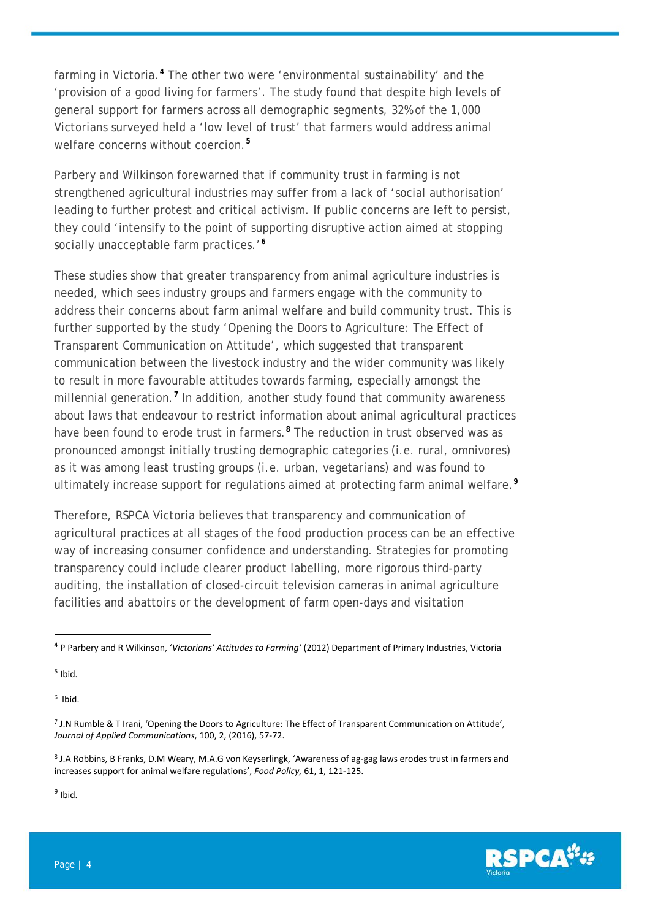farming in Victoria.<sup>[4](#page-3-0)</sup> The other two were 'environmental sustainability' and the 'provision of a good living for farmers'. The study found that despite high levels of general support for farmers across all demographic segments, 32% of the 1,000 Victorians surveyed held a 'low level of trust' that farmers would address animal welfare concerns without coercion. **[5](#page-3-1)**

Parbery and Wilkinson forewarned that if community trust in farming is not strengthened agricultural industries may suffer from a lack of 'social authorisation' leading to further protest and critical activism. If public concerns are left to persist, they could 'intensify to the point of supporting disruptive action aimed at stopping socially unacceptable farm practices.'**[6](#page-3-2)**

These studies show that greater transparency from animal agriculture industries is needed, which sees industry groups and farmers engage with the community to address their concerns about farm animal welfare and build community trust. This is further supported by the study 'Opening the Doors to Agriculture: The Effect of Transparent Communication on Attitude', which suggested that transparent communication between the livestock industry and the wider community was likely to result in more favourable attitudes towards farming, especially amongst the millennial generation.**[7](#page-3-3)** In addition, another study found that community awareness about laws that endeavour to restrict information about animal agricultural practices have been found to erode trust in farmers. **[8](#page-3-4)** The reduction in trust observed was as pronounced amongst initially trusting demographic categories (i.e. rural, omnivores) as it was among least trusting groups (i.e. urban, vegetarians) and was found to ultimately increase support for regulations aimed at protecting farm animal welfare.**[9](#page-3-5)**

Therefore, RSPCA Victoria believes that transparency and communication of agricultural practices at all stages of the food production process can be an effective way of increasing consumer confidence and understanding. Strategies for promoting transparency could include clearer product labelling, more rigorous third-party auditing, the installation of closed-circuit television cameras in animal agriculture facilities and abattoirs or the development of farm open-days and visitation

<span id="page-3-2"></span> $6$  Ibid.

<span id="page-3-5"></span> $9$  Ibid.



<span id="page-3-0"></span> <sup>4</sup> P Parbery and R Wilkinson, '*Victorians' Attitudes to Farming'* (2012) Department of Primary Industries, Victoria

<span id="page-3-1"></span> $<sup>5</sup>$  Ibid.</sup>

<span id="page-3-3"></span><sup>7</sup> J.N Rumble & T Irani, 'Opening the Doors to Agriculture: The Effect of Transparent Communication on Attitude', *Journal of Applied Communications*, 100, 2, (2016), 57-72.

<span id="page-3-4"></span><sup>8</sup> J.A Robbins, B Franks, D.M Weary, M.A.G von Keyserlingk, 'Awareness of ag-gag laws erodes trust in farmers and increases support for animal welfare regulations', *Food Policy,* 61, 1, 121-125.